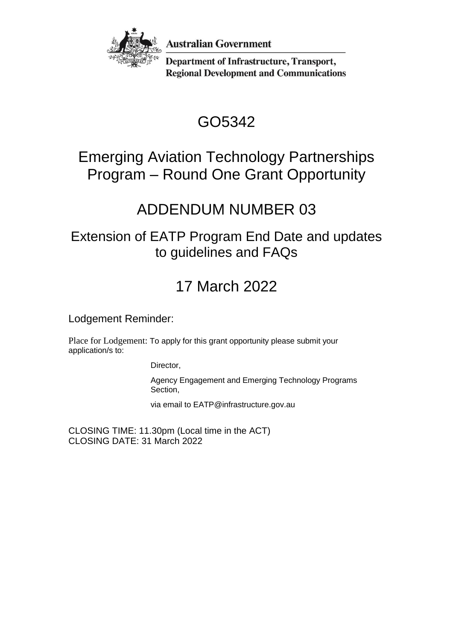

**Australian Government** 

**Department of Infrastructure, Transport, Regional Development and Communications** 

# GO5342

## Emerging Aviation Technology Partnerships Program – Round One Grant Opportunity

## ADDENDUM NUMBER 03

### Extension of EATP Program End Date and updates to guidelines and FAQs

# 17 March 2022

Lodgement Reminder:

Place for Lodgement: To apply for this grant opportunity please submit your application/s to:

Director,

Agency Engagement and Emerging Technology Programs Section,

via email to EATP@infrastructure.gov.au

CLOSING TIME: 11.30pm (Local time in the ACT) CLOSING DATE: 31 March 2022